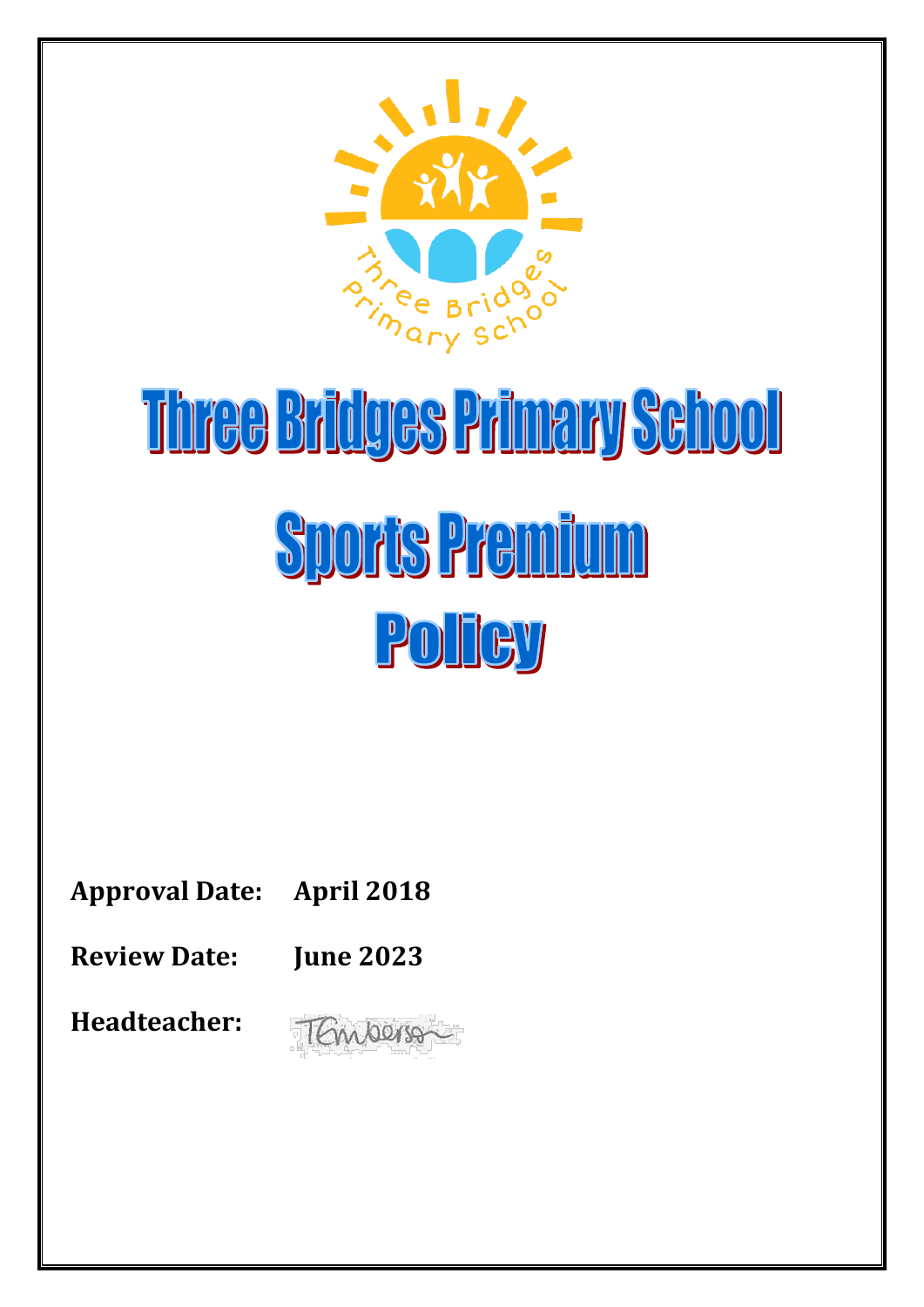

# Three Bridges Primary School **Sports Premium** POITCY

| <b>Approval Date: April 2018</b> |  |
|----------------------------------|--|
|                                  |  |

**Review Date: June 2023**

**Headteacher:** 

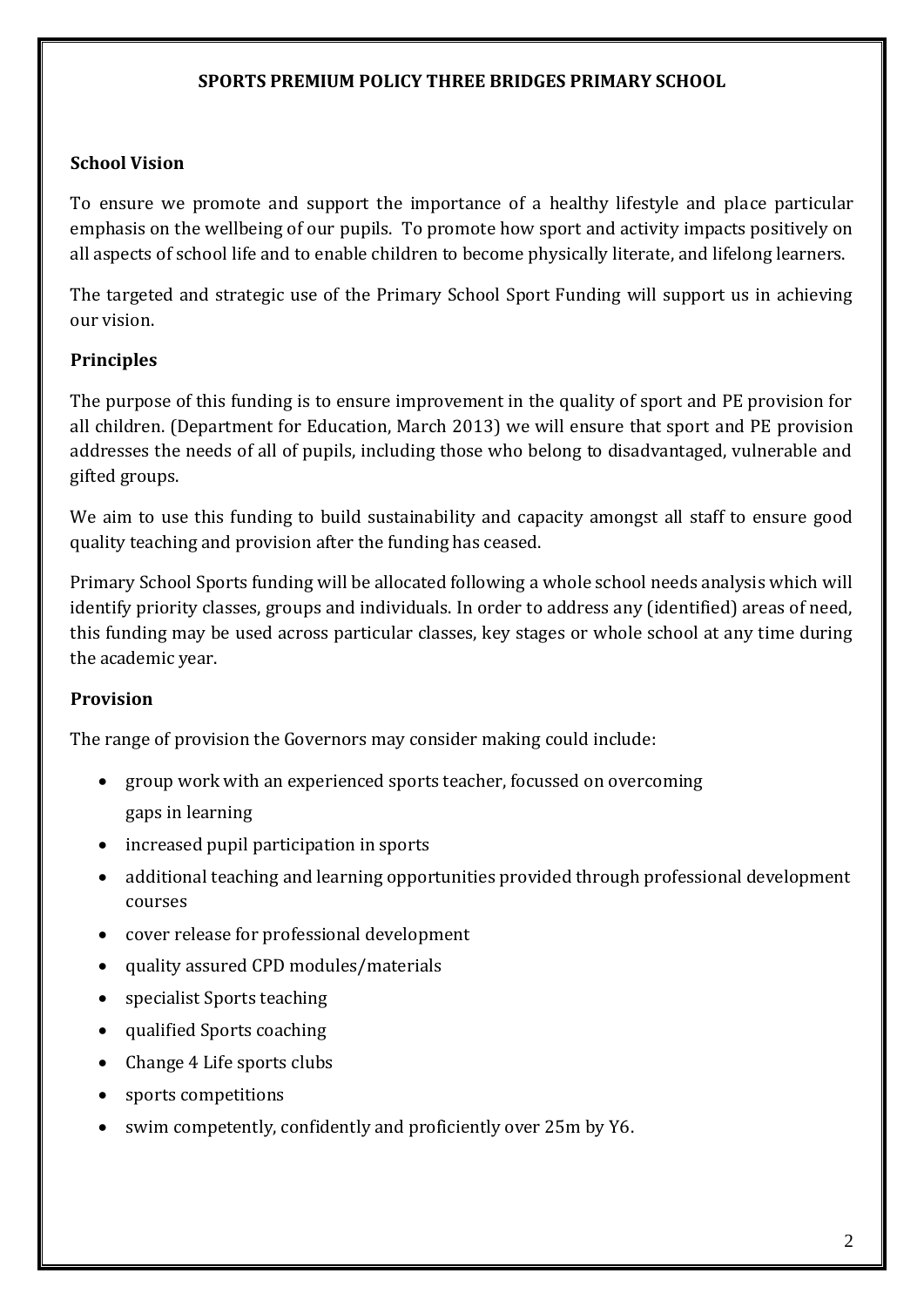### **SPORTS PREMIUM POLICY THREE BRIDGES PRIMARY SCHOOL**

## **School Vision**

To ensure we promote and support the importance of a healthy lifestyle and place particular emphasis on the wellbeing of our pupils. To promote how sport and activity impacts positively on all aspects of school life and to enable children to become physically literate, and lifelong learners.

The targeted and strategic use of the Primary School Sport Funding will support us in achieving our vision.

# **Principles**

The purpose of this funding is to ensure improvement in the quality of sport and PE provision for all children. (Department for Education, March 2013) we will ensure that sport and PE provision addresses the needs of all of pupils, including those who belong to disadvantaged, vulnerable and gifted groups.

We aim to use this funding to build sustainability and capacity amongst all staff to ensure good quality teaching and provision after the funding has ceased.

Primary School Sports funding will be allocated following a whole school needs analysis which will identify priority classes, groups and individuals. In order to address any (identified) areas of need, this funding may be used across particular classes, key stages or whole school at any time during the academic year.

# **Provision**

The range of provision the Governors may consider making could include:

- group work with an experienced sports teacher, focussed on overcoming gaps in learning
- increased pupil participation in sports
- additional teaching and learning opportunities provided through professional development courses
- cover release for professional development
- quality assured CPD modules/materials
- specialist Sports teaching
- qualified Sports coaching
- Change 4 Life sports clubs
- sports competitions
- swim competently, confidently and proficiently over 25m by Y6.